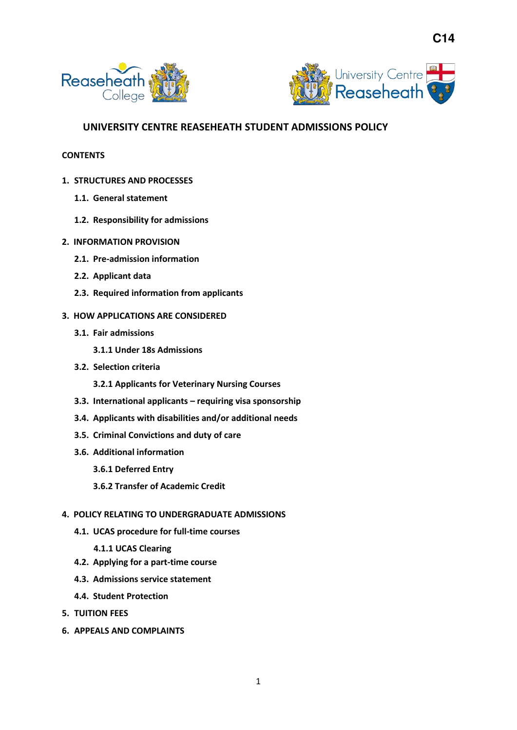



# **UNIVERSITY CENTRE REASEHEATH STUDENT ADMISSIONS POLICY**

#### **CONTENTS**

- **1. STRUCTURES AND PROCESSES** 
	- **1.1. General statement**
	- **1.2. Responsibility for admissions**
- **2. INFORMATION PROVISION** 
	- **2.1. Pre-admission information**
	- **2.2. Applicant data**
	- **2.3. Required information from applicants**
- **3. HOW APPLICATIONS ARE CONSIDERED** 
	- **3.1. Fair admissions** 
		- **3.1.1 Under 18s Admissions**
	- **3.2. Selection criteria** 
		- **3.2.1 Applicants for Veterinary Nursing Courses**
	- **3.3. International applicants – requiring visa sponsorship**
	- **3.4. Applicants with disabilities and/or additional needs**
	- **3.5. Criminal Convictions and duty of care**
	- **3.6. Additional information** 
		- **3.6.1 Deferred Entry**
		- **3.6.2 Transfer of Academic Credit**

## **4. POLICY RELATING TO UNDERGRADUATE ADMISSIONS**

**4.1. UCAS procedure for full-time courses** 

#### **4.1.1 UCAS Clearing**

- **4.2. Applying for a part-time course**
- **4.3. Admissions service statement**
- **4.4. Student Protection**
- **5. TUITION FEES**
- **6. APPEALS AND COMPLAINTS**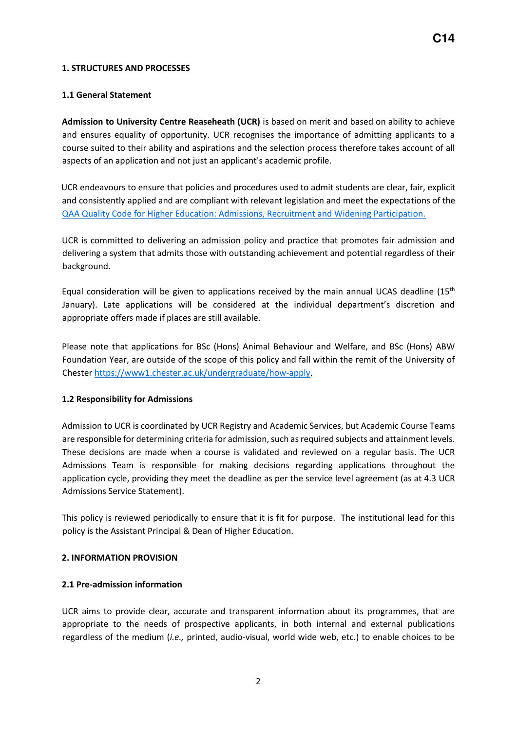#### **1. STRUCTURES AND PROCESSES**

#### **1.1 General Statement**

**Admission to University Centre Reaseheath (UCR)** is based on merit and based on ability to achieve and ensures equality of opportunity. UCR recognises the importance of admitting applicants to a course suited to their ability and aspirations and the selection process therefore takes account of all aspects of an application and not just an applicant's academic profile.

UCR endeavours to ensure that policies and procedures used to admit students are clear, fair, explicit and consistently applied and are compliant with relevant legislation and meet the expectations of the [QAA Quality Code for Higher Education: Admissions, Recruitment and Widening Participation.](https://www.qaa.ac.uk/en/quality-code/advice-and-guidance/admissions-recruitment-and-widening-access) 

UCR is committed to delivering an admission policy and practice that promotes fair admission and delivering a system that admits those with outstanding achievement and potential regardless of their background.

Equal consideration will be given to applications received by the main annual UCAS deadline  $(15<sup>th</sup>$ January). Late applications will be considered at the individual department's discretion and appropriate offers made if places are still available.

Please note that applications for BSc (Hons) Animal Behaviour and Welfare, and BSc (Hons) ABW Foundation Year, are outside of the scope of this policy and fall within the remit of the University of Cheste[r https://www1.chester.ac.uk/undergraduate/how-apply.](https://www1.chester.ac.uk/undergraduate/how-apply)

## **1.2 Responsibility for Admissions**

Admission to UCR is coordinated by UCR Registry and Academic Services, but Academic Course Teams are responsible for determining criteria for admission, such as required subjects and attainment levels. These decisions are made when a course is validated and reviewed on a regular basis. The UCR Admissions Team is responsible for making decisions regarding applications throughout the application cycle, providing they meet the deadline as per the service level agreement (as at 4.3 UCR Admissions Service Statement).

This policy is reviewed periodically to ensure that it is fit for purpose. The institutional lead for this policy is the Assistant Principal & Dean of Higher Education.

#### **2. INFORMATION PROVISION**

## **2.1 Pre-admission information**

UCR aims to provide clear, accurate and transparent information about its programmes, that are appropriate to the needs of prospective applicants, in both internal and external publications regardless of the medium (*i.e.,* printed, audio-visual, world wide web, etc.) to enable choices to be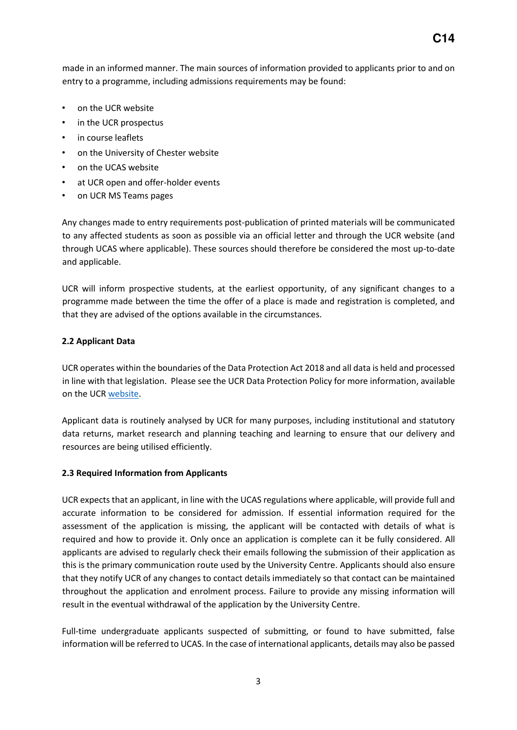made in an informed manner. The main sources of information provided to applicants prior to and on entry to a programme, including admissions requirements may be found:

- on the UCR website
- in the UCR prospectus
- in course leaflets
- on the University of Chester website
- on the UCAS website
- at UCR open and offer-holder events
- on UCR MS Teams pages

Any changes made to entry requirements post-publication of printed materials will be communicated to any affected students as soon as possible via an official letter and through the UCR website (and through UCAS where applicable). These sources should therefore be considered the most up-to-date and applicable.

UCR will inform prospective students, at the earliest opportunity, of any significant changes to a programme made between the time the offer of a place is made and registration is completed, and that they are advised of the options available in the circumstances.

## **2.2 Applicant Data**

UCR operates within the boundaries of the Data Protection Act 2018 and all data is held and processed in line with that legislation. Please see the UCR Data Protection Policy for more information, available on the UC[R](http://www.reaseheath.ac.uk/about-us/about-the-college/college-policies/) [website.](https://ucreaseheath.ac.uk/)

Applicant data is routinely analysed by UCR for many purposes, including institutional and statutory data returns, market research and planning teaching and learning to ensure that our delivery and resources are being utilised efficiently.

## **2.3 Required Information from Applicants**

UCR expects that an applicant, in line with the UCAS regulations where applicable, will provide full and accurate information to be considered for admission. If essential information required for the assessment of the application is missing, the applicant will be contacted with details of what is required and how to provide it. Only once an application is complete can it be fully considered. All applicants are advised to regularly check their emails following the submission of their application as this is the primary communication route used by the University Centre. Applicants should also ensure that they notify UCR of any changes to contact details immediately so that contact can be maintained throughout the application and enrolment process. Failure to provide any missing information will result in the eventual withdrawal of the application by the University Centre.

Full-time undergraduate applicants suspected of submitting, or found to have submitted, false information will be referred to UCAS. In the case of international applicants, details may also be passed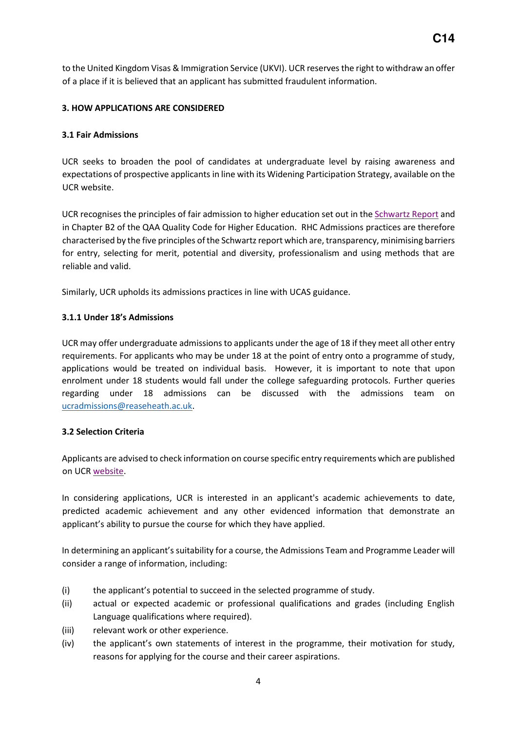to the United Kingdom Visas & Immigration Service (UKVI). UCR reserves the right to withdraw an offer of a place if it is believed that an applicant has submitted fraudulent information.

# **3. HOW APPLICATIONS ARE CONSIDERED**

## **3.1 Fair Admissions**

UCR seeks to broaden the pool of candidates at undergraduate level by raising awareness and expectations of prospective applicants in line with its Widening Participation Strategy, available on the UCR websit[e.](http://www.reaseheath.ac.uk/about-us/about-the-college/college-policies/) 

UCR recognises the principles of fair admission to higher education set out in t[he](http://www.spa.ac.uk/information/fairadmissions/) [Schwartz Repor](https://dera.ioe.ac.uk/5284/1/finalreport.pdf)[t an](http://www.spa.ac.uk/information/fairadmissions/)d in Chapter B2 of the QAA Quality Code for Higher Education. RHC Admissions practices are therefore characterised by the five principles of the Schwartz report which are, transparency, minimising barriers for entry, selecting for merit, potential and diversity, professionalism and using methods that are reliable and valid.

Similarly, UCR upholds its admissions practices in line with UCAS guidance.

# **3.1.1 Under 18's Admissions**

UCR may offer undergraduate admissions to applicants under the age of 18 if they meet all other entry requirements. For applicants who may be under 18 at the point of entry onto a programme of study, applications would be treated on individual basis. However, it is important to note that upon enrolment under 18 students would fall under the college safeguarding protocols. Further queries regarding under 18 admissions can be discussed with the admissions team on [ucradmissions@reaseheath.ac.uk.](mailto:ucradmissions@reaseheath.ac.uk)

# **3.2 Selection Criteria**

Applicants are advised to check information on course specific entry requirements which are published on UC[R website.](http://www.reaseheath.ac.uk/higher-education/courses/) 

In considering applications, UCR is interested in an applicant's academic achievements to date, predicted academic achievement and any other evidenced information that demonstrate an applicant's ability to pursue the course for which they have applied.

In determining an applicant's suitability for a course, the Admissions Team and Programme Leader will consider a range of information, including:

- (i) the applicant's potential to succeed in the selected programme of study.
- (ii) actual or expected academic or professional qualifications and grades (including English Language qualifications where required).
- (iii) relevant work or other experience.
- (iv) the applicant's own statements of interest in the programme, their motivation for study, reasons for applying for the course and their career aspirations.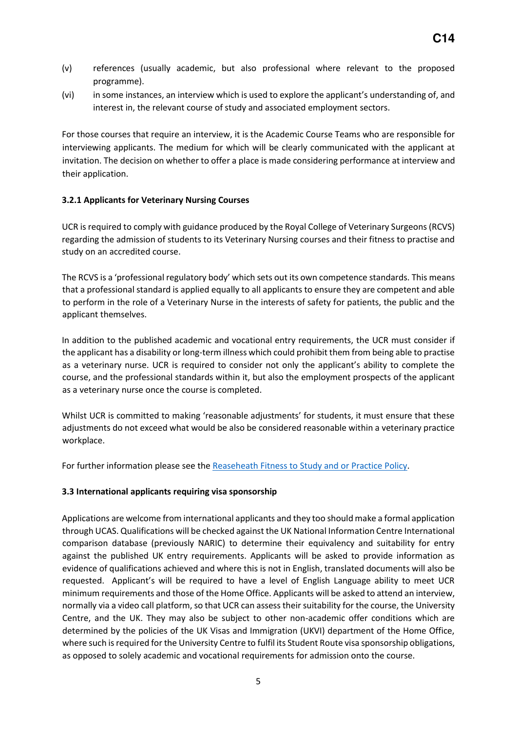- (v) references (usually academic, but also professional where relevant to the proposed programme).
- (vi) in some instances, an interview which is used to explore the applicant's understanding of, and interest in, the relevant course of study and associated employment sectors.

For those courses that require an interview, it is the Academic Course Teams who are responsible for interviewing applicants. The medium for which will be clearly communicated with the applicant at invitation. The decision on whether to offer a place is made considering performance at interview and their application.

# **3.2.1 Applicants for Veterinary Nursing Courses**

UCR is required to comply with guidance produced by the Royal College of Veterinary Surgeons (RCVS) regarding the admission of students to its Veterinary Nursing courses and their fitness to practise and study on an accredited course.

The RCVS is a 'professional regulatory body' which sets out its own competence standards. This means that a professional standard is applied equally to all applicants to ensure they are competent and able to perform in the role of a Veterinary Nurse in the interests of safety for patients, the public and the applicant themselves.

In addition to the published academic and vocational entry requirements, the UCR must consider if the applicant has a disability or long-term illness which could prohibit them from being able to practise as a veterinary nurse. UCR is required to consider not only the applicant's ability to complete the course, and the professional standards within it, but also the employment prospects of the applicant as a veterinary nurse once the course is completed.

Whilst UCR is committed to making 'reasonable adjustments' for students, it must ensure that these adjustments do not exceed what would be also be considered reasonable within a veterinary practice workplace.

For further information please see the [Reaseheath Fitness to Study and or Practice Policy.](https://ucreaseheath.ac.uk/wp-content/uploads/2020/11/G19-Fitness-to-Study-and-or-Practise-Policy-FE-HE-and-Apprenticeships-002.pdf)

## **3.3 International applicants requiring visa sponsorship**

Applications are welcome from international applicants and they too should make a formal application through UCAS. Qualifications will be checked against the UK National Information Centre International comparison database (previously NARIC) to determine their equivalency and suitability for entry against the published UK entry requirements. Applicants will be asked to provide information as evidence of qualifications achieved and where this is not in English, translated documents will also be requested. Applicant's will be required to have a level of English Language ability to meet UCR minimum requirements and those of the Home Office. Applicants will be asked to attend an interview, normally via a video call platform, so that UCR can assess their suitability for the course, the University Centre, and the UK. They may also be subject to other non-academic offer conditions which are determined by the policies of the UK Visas and Immigration (UKVI) department of the Home Office, where such is required for the University Centre to fulfil its Student Route visa sponsorship obligations, as opposed to solely academic and vocational requirements for admission onto the course.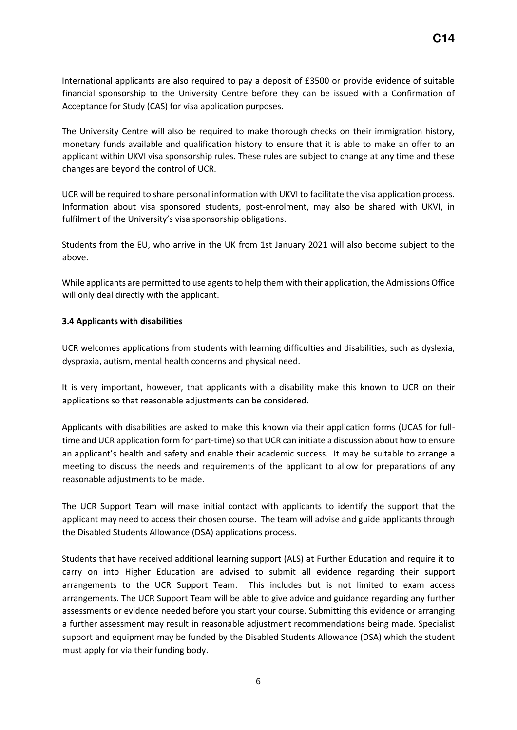International applicants are also required to pay a deposit of £3500 or provide evidence of suitable financial sponsorship to the University Centre before they can be issued with a Confirmation of Acceptance for Study (CAS) for visa application purposes.

The University Centre will also be required to make thorough checks on their immigration history, monetary funds available and qualification history to ensure that it is able to make an offer to an applicant within UKVI visa sponsorship rules. These rules are subject to change at any time and these changes are beyond the control of UCR.

UCR will be required to share personal information with UKVI to facilitate the visa application process. Information about visa sponsored students, post-enrolment, may also be shared with UKVI, in fulfilment of the University's visa sponsorship obligations.

Students from the EU, who arrive in the UK from 1st January 2021 will also become subject to the above.

While applicants are permitted to use agents to help them with their application, the Admissions Office will only deal directly with the applicant.

#### **3.4 Applicants with disabilities**

UCR welcomes applications from students with learning difficulties and disabilities, such as dyslexia, dyspraxia, autism, mental health concerns and physical need.

It is very important, however, that applicants with a disability make this known to UCR on their applications so that reasonable adjustments can be considered.

Applicants with disabilities are asked to make this known via their application forms (UCAS for fulltime and UCR application form for part-time) so that UCR can initiate a discussion about how to ensure an applicant's health and safety and enable their academic success. It may be suitable to arrange a meeting to discuss the needs and requirements of the applicant to allow for preparations of any reasonable adjustments to be made.

The UCR Support Team will make initial contact with applicants to identify the support that the applicant may need to access their chosen course. The team will advise and guide applicants through the Disabled Students Allowance (DSA) applications process.

Students that have received additional learning support (ALS) at Further Education and require it to carry on into Higher Education are advised to submit all evidence regarding their support arrangements to the UCR Support Team. This includes but is not limited to exam access arrangements. The UCR Support Team will be able to give advice and guidance regarding any further assessments or evidence needed before you start your course. Submitting this evidence or arranging a further assessment may result in reasonable adjustment recommendations being made. Specialist support and equipment may be funded by the Disabled Students Allowance (DSA) which the student must apply for via their funding body.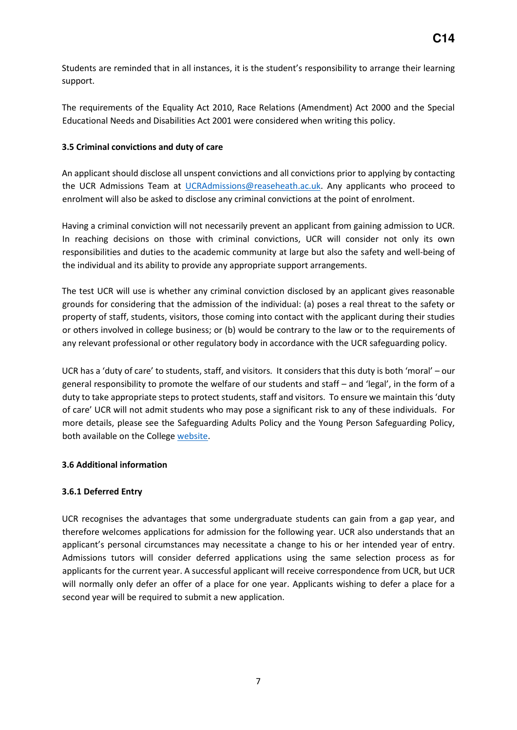Students are reminded that in all instances, it is the student's responsibility to arrange their learning support.

The requirements of the Equality Act 2010, Race Relations (Amendment) Act 2000 and the Special Educational Needs and Disabilities Act 2001 were considered when writing this policy.

## **3.5 Criminal convictions and duty of care**

An applicant should disclose all unspent convictions and all convictions prior to applying by contacting the UCR Admissions Team at [UCRAdmissions@reaseheath.ac.uk.](mailto:UCRAdmissions@reaseheath.ac.uk) Any applicants who proceed to enrolment will also be asked to disclose any criminal convictions at the point of enrolment.

Having a criminal conviction will not necessarily prevent an applicant from gaining admission to UCR. In reaching decisions on those with criminal convictions, UCR will consider not only its own responsibilities and duties to the academic community at large but also the safety and well-being of the individual and its ability to provide any appropriate support arrangements.

The test UCR will use is whether any criminal conviction disclosed by an applicant gives reasonable grounds for considering that the admission of the individual: (a) poses a real threat to the safety or property of staff, students, visitors, those coming into contact with the applicant during their studies or others involved in college business; or (b) would be contrary to the law or to the requirements of any relevant professional or other regulatory body in accordance with the UCR safeguarding policy.

UCR has a 'duty of care' to students, staff, and visitors. It considers that this duty is both 'moral' – our general responsibility to promote the welfare of our students and staff – and 'legal', in the form of a duty to take appropriate steps to protect students, staff and visitors. To ensure we maintain this 'duty of care' UCR will not admit students who may pose a significant risk to any of these individuals.For more details, please see the Safeguarding Adults Policy and the Young Person Safeguarding Policy, both available on the College [website.](https://www.reaseheath.ac.uk/about-us/college-policies/)

# **3.6 Additional information**

# **3.6.1 Deferred Entry**

UCR recognises the advantages that some undergraduate students can gain from a gap year, and therefore welcomes applications for admission for the following year. UCR also understands that an applicant's personal circumstances may necessitate a change to his or her intended year of entry. Admissions tutors will consider deferred applications using the same selection process as for applicants for the current year. A successful applicant will receive correspondence from UCR, but UCR will normally only defer an offer of a place for one year. Applicants wishing to defer a place for a second year will be required to submit a new application.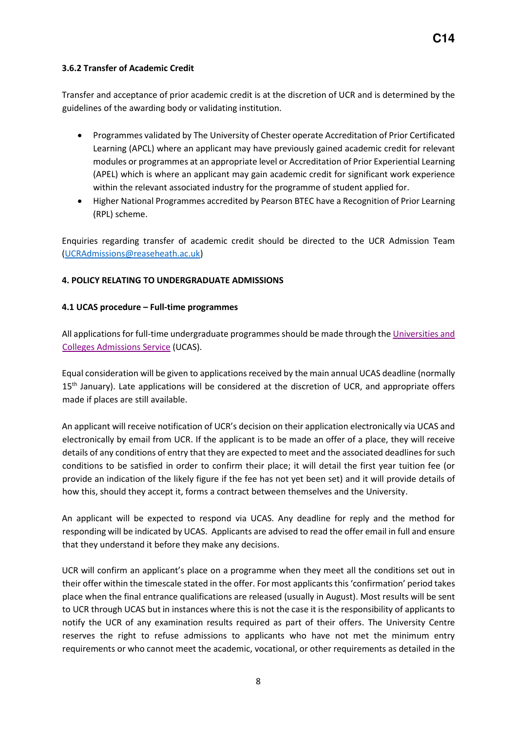# **3.6.2 Transfer of Academic Credit**

Transfer and acceptance of prior academic credit is at the discretion of UCR and is determined by the guidelines of the awarding body or validating institution.

- Programmes validated by The University of Chester operate Accreditation of Prior Certificated Learning (APCL) where an applicant may have previously gained academic credit for relevant modules or programmes at an appropriate level or Accreditation of Prior Experiential Learning (APEL) which is where an applicant may gain academic credit for significant work experience within the relevant associated industry for the programme of student applied for.
- Higher National Programmes accredited by Pearson BTEC have a Recognition of Prior Learning (RPL) scheme.

Enquiries regarding transfer of academic credit should be directed to the UCR Admission Team [\(UCRAdmissions@reaseheath.ac.uk\)](mailto:UCRAdmissions@reaseheath.ac.uk)

# **4. POLICY RELATING TO UNDERGRADUATE ADMISSIONS**

## **4.1 UCAS procedure – Full-time programmes**

All applications for full-time undergraduate programmes should be made through t[he Universities and](http://www.ucas.com/)  [Colleges Admissions Service \(U](http://www.ucas.com/)CAS).

Equal consideration will be given to applications received by the main annual UCAS deadline (normally 15<sup>th</sup> January). Late applications will be considered at the discretion of UCR, and appropriate offers made if places are still available.

An applicant will receive notification of UCR's decision on their application electronically via UCAS and electronically by email from UCR. If the applicant is to be made an offer of a place, they will receive details of any conditions of entry that they are expected to meet and the associated deadlines for such conditions to be satisfied in order to confirm their place; it will detail the first year tuition fee (or provide an indication of the likely figure if the fee has not yet been set) and it will provide details of how this, should they accept it, forms a contract between themselves and the University.

An applicant will be expected to respond via UCAS. Any deadline for reply and the method for responding will be indicated by UCAS. Applicants are advised to read the offer email in full and ensure that they understand it before they make any decisions.

UCR will confirm an applicant's place on a programme when they meet all the conditions set out in their offer within the timescale stated in the offer. For most applicants this 'confirmation' period takes place when the final entrance qualifications are released (usually in August). Most results will be sent to UCR through UCAS but in instances where this is not the case it is the responsibility of applicants to notify the UCR of any examination results required as part of their offers. The University Centre reserves the right to refuse admissions to applicants who have not met the minimum entry requirements or who cannot meet the academic, vocational, or other requirements as detailed in the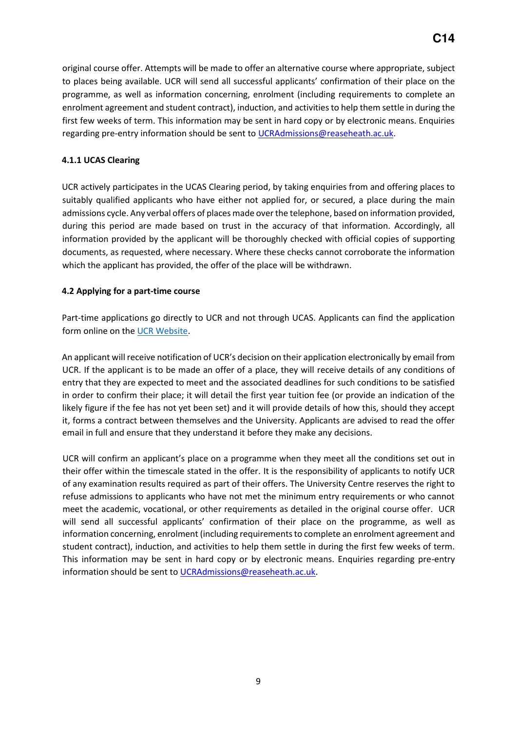original course offer. Attempts will be made to offer an alternative course where appropriate, subject to places being available. UCR will send all successful applicants' confirmation of their place on the programme, as well as information concerning, enrolment (including requirements to complete an enrolment agreement and student contract), induction, and activities to help them settle in during the first few weeks of term. This information may be sent in hard copy or by electronic means. Enquiries regarding pre-entry information should be sent to UCRAdmissions@reaseheath.ac.uk.

# **4.1.1 UCAS Clearing**

UCR actively participates in the UCAS Clearing period, by taking enquiries from and offering places to suitably qualified applicants who have either not applied for, or secured, a place during the main admissions cycle. Any verbal offers of places made over the telephone, based on information provided, during this period are made based on trust in the accuracy of that information. Accordingly, all information provided by the applicant will be thoroughly checked with official copies of supporting documents, as requested, where necessary. Where these checks cannot corroborate the information which the applicant has provided, the offer of the place will be withdrawn.

## **4.2 Applying for a part-time course**

Part-time applications go directly to UCR and not through UCAS. Applicants can find the application form online on th[e](http://www.applicationform.reaseheath.ac.uk/webenrolment.aspx?page=~%2fwebcontrols%2fsearch.ascx) [UCR Website.](https://ucreaseheath.ac.uk/)

An applicant will receive notification of UCR's decision on their application electronically by email from UCR. If the applicant is to be made an offer of a place, they will receive details of any conditions of entry that they are expected to meet and the associated deadlines for such conditions to be satisfied in order to confirm their place; it will detail the first year tuition fee (or provide an indication of the likely figure if the fee has not yet been set) and it will provide details of how this, should they accept it, forms a contract between themselves and the University. Applicants are advised to read the offer email in full and ensure that they understand it before they make any decisions.

UCR will confirm an applicant's place on a programme when they meet all the conditions set out in their offer within the timescale stated in the offer. It is the responsibility of applicants to notify UCR of any examination results required as part of their offers. The University Centre reserves the right to refuse admissions to applicants who have not met the minimum entry requirements or who cannot meet the academic, vocational, or other requirements as detailed in the original course offer. UCR will send all successful applicants' confirmation of their place on the programme, as well as information concerning, enrolment (including requirements to complete an enrolment agreement and student contract), induction, and activities to help them settle in during the first few weeks of term. This information may be sent in hard copy or by electronic means. Enquiries regarding pre-entry information should be sent to UCRAdmissions@reaseheath.ac.uk.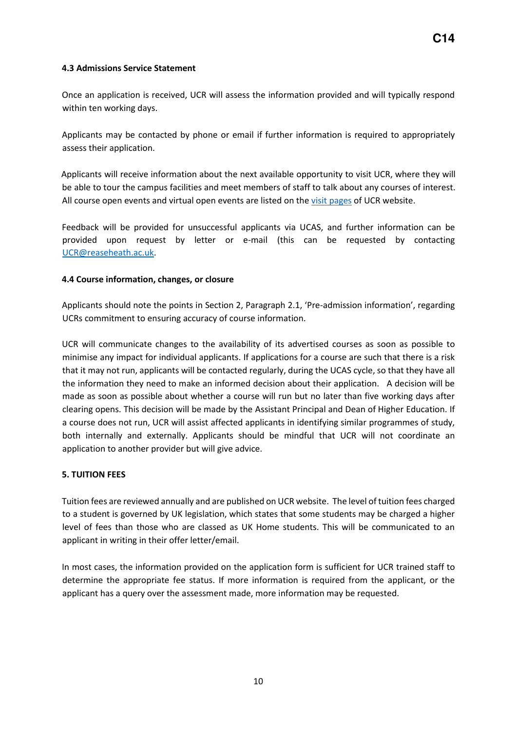## **4.3 Admissions Service Statement**

Once an application is received, UCR will assess the information provided and will typically respond within ten working days.

Applicants may be contacted by phone or email if further information is required to appropriately assess their application.

Applicants will receive information about the next available opportunity to visit UCR, where they will be able to tour the campus facilities and meet members of staff to talk about any courses of interest. All course open events and virtual open events are listed on th[e visit pages](https://ucreaseheath.ac.uk/visit/) [of](http://www.reaseheath.ac.uk/college-events/) UCR website.

Feedback will be provided for unsuccessful applicants via UCAS, and further information can be provided upon request by letter or e-mail (this can be requested by contacting [UCR@reaseheath.ac.uk.](mailto:UCR@reaseheath.ac.uk)

# **4.4 Course information, changes, or closure**

Applicants should note the points in Section 2, Paragraph 2.1, 'Pre-admission information', regarding UCRs commitment to ensuring accuracy of course information.

UCR will communicate changes to the availability of its advertised courses as soon as possible to minimise any impact for individual applicants. If applications for a course are such that there is a risk that it may not run, applicants will be contacted regularly, during the UCAS cycle, so that they have all the information they need to make an informed decision about their application. A decision will be made as soon as possible about whether a course will run but no later than five working days after clearing opens. This decision will be made by the Assistant Principal and Dean of Higher Education. If a course does not run, UCR will assist affected applicants in identifying similar programmes of study, both internally and externally. Applicants should be mindful that UCR will not coordinate an application to another provider but will give advice.

## **5. TUITION FEES**

Tuition fees are reviewed annually and are published on UCR website. The level of tuition fees charged to a student is governed by UK legislation, which states that some students may be charged a higher level of fees than those who are classed as UK Home students. This will be communicated to an applicant in writing in their offer letter/email.

In most cases, the information provided on the application form is sufficient for UCR trained staff to determine the appropriate fee status. If more information is required from the applicant, or the applicant has a query over the assessment made, more information may be requested.